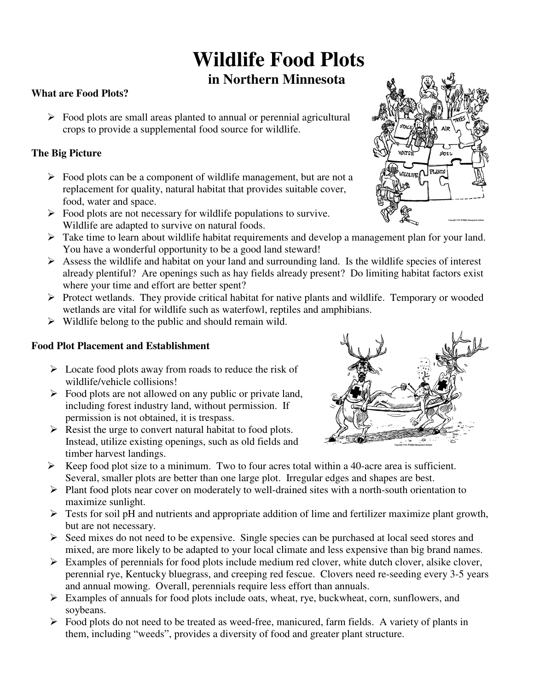# **Wildlife Food Plots**

### **in Northern Minnesota**

#### **What are Food Plots?**

 $\triangleright$  Food plots are small areas planted to annual or perennial agricultural crops to provide a supplemental food source for wildlife.

#### **The Big Picture**

- $\triangleright$  Food plots can be a component of wildlife management, but are not a replacement for quality, natural habitat that provides suitable cover, food, water and space.
- $\triangleright$  Food plots are not necessary for wildlife populations to survive. Wildlife are adapted to survive on natural foods.
- $\triangleright$  Take time to learn about wildlife habitat requirements and develop a management plan for your land. You have a wonderful opportunity to be a good land steward!
- already plentiful? Are openings such as hay fields already present? Do limiting habitat factors exist where your time and effort are better spent?  $\triangleright$  Assess the wildlife and habitat on your land and surrounding land. Is the wildlife species of interest
- > Protect wetlands. They provide critical habitat for native plants and wildlife. Temporary or wooded wetlands are vital for wildlife such as waterfowl, reptiles and amphibians.
- $\triangleright$  Wildlife belong to the public and should remain wild.

#### **Food Plot Placement and Establishment**

- $\triangleright$  Locate food plots away from roads to reduce the risk of wildlife/vehicle collisions!
- including forest industry land, without permission. If  $\triangleright$  Food plots are not allowed on any public or private land, permission is not obtained, it is trespass.
- $\triangleright$  Resist the urge to convert natural habitat to food plots. Instead, utilize existing openings, such as old fields and timber harvest landings.
- $\triangleright$  Keep food plot size to a minimum. Two to four acres total within a 40-acre area is sufficient. Several, smaller plots are better than one large plot. Irregular edges and shapes are best.
- $\triangleright$  Plant food plots near cover on moderately to well-drained sites with a north-south orientation to maximize sunlight.
- $\triangleright$  Tests for soil pH and nutrients and appropriate addition of lime and fertilizer maximize plant growth, but are not necessary.
- $\triangleright$  Seed mixes do not need to be expensive. Single species can be purchased at local seed stores and mixed, are more likely to be adapted to your local climate and less expensive than big brand names.
- $\triangleright$  Examples of perennials for food plots include medium red clover, white dutch clover, alsike clover, perennial rye, Kentucky bluegrass, and creeping red fescue. Clovers need re-seeding every 3-5 years and annual mowing. Overall, perennials require less effort than annuals.
- $\triangleright$  Examples of annuals for food plots include oats, wheat, rye, buckwheat, corn, sunflowers, and soybeans.
- $\triangleright$  Food plots do not need to be treated as weed-free, manicured, farm fields. A variety of plants in them, including "weeds", provides a diversity of food and greater plant structure.